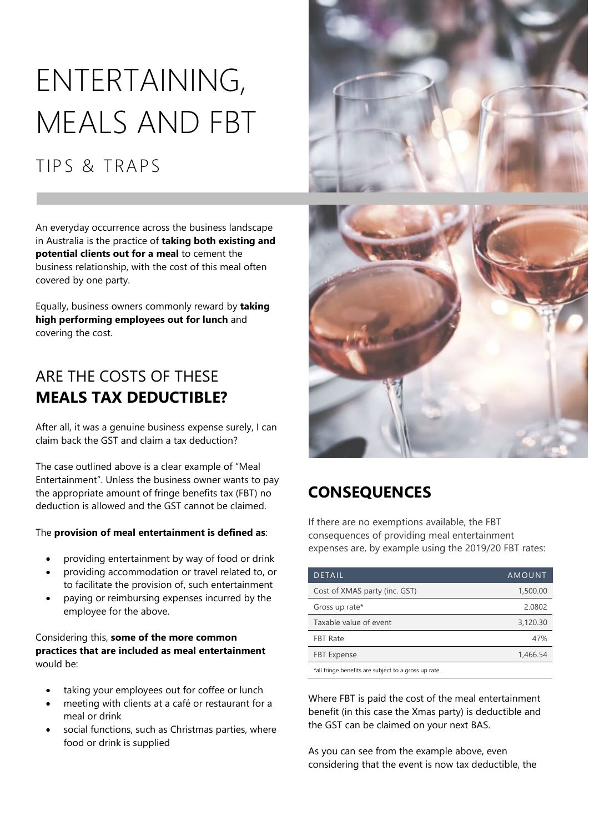# ENTERTAINING, MEALS AND FBT

# TIPS & TRAPS

An everyday occurrence across the business landscape in Australia is the practice of **taking both existing and potential clients out for a meal** to cement the business relationship, with the cost of this meal often covered by one party.

Equally, business owners commonly reward by **taking high performing employees out for lunch** and covering the cost.

## ARE THE COSTS OF THESE **MEALS TAX DEDUCTIBLE?**

After all, it was a genuine business expense surely, I can claim back the GST and claim a tax deduction?

The case outlined above is a clear example of "Meal Entertainment". Unless the business owner wants to pay the appropriate amount of fringe benefits tax (FBT) no deduction is allowed and the GST cannot be claimed.

#### The **provision of meal entertainment is defined as**:

- providing entertainment by way of food or drink
- providing accommodation or travel related to, or to facilitate the provision of, such entertainment
- paying or reimbursing expenses incurred by the employee for the above.

#### Considering this, **some of the more common practices that are included as meal entertainment** would be:

- taking your employees out for coffee or lunch
- meeting with clients at a café or restaurant for a meal or drink
- social functions, such as Christmas parties, where food or drink is supplied





## **CONSEQUENCES**

If there are no exemptions available, the FBT consequences of providing meal entertainment expenses are, by example using the 2019/20 FBT rates:

| <b>DETAIL</b>                                        | AMOUNT   |
|------------------------------------------------------|----------|
| Cost of XMAS party (inc. GST)                        | 1,500.00 |
| Gross up rate*                                       | 2.0802   |
| Taxable value of event                               | 3,120.30 |
| <b>FBT Rate</b>                                      | 47%      |
| <b>FBT</b> Expense                                   | 1,466.54 |
| *all fringe benefits are subject to a gross up rate. |          |

Where FBT is paid the cost of the meal entertainment benefit (in this case the Xmas party) is deductible and the GST can be claimed on your next BAS.

As you can see from the example above, even considering that the event is now tax deductible, the